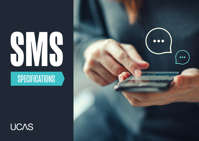# **SPECIFICATIONS SMS**